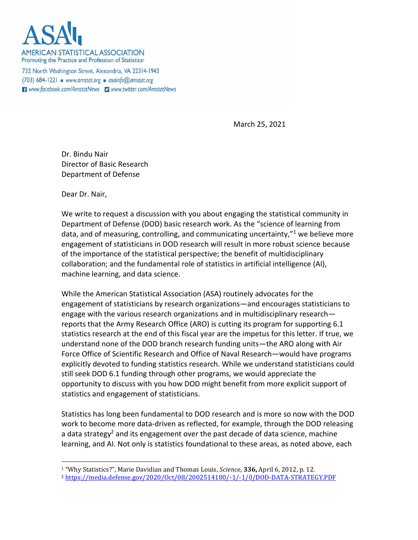

**AMERICAN STATISTICAL ASSOCIATION** Promoting the Practice and Profession of Statistics®

732 North Washington Street, Alexandria, VA 22314-1943  $(703)$  684-1221 www.amstat.org asainfo@amstat.org Www.facebook.com/AmstatNews Dwww.twitter.com/AmstatNews

March 25, 2021

Dr. Bindu Nair Director of Basic Research Department of Defense

Dear Dr. Nair,

We write to request a discussion with you about engaging the statistical community in Department of Defense (DOD) basic research work. As the "science of learning from data, and of measuring, controlling, and communicating uncertainty, $n<sup>1</sup>$  we believe more engagement of statisticians in DOD research will result in more robust science because of the importance of the statistical perspective; the benefit of multidisciplinary collaboration; and the fundamental role of statistics in artificial intelligence (AI), machine learning, and data science.

While the American Statistical Association (ASA) routinely advocates for the engagement of statisticians by research organizations—and encourages statisticians to engage with the various research organizations and in multidisciplinary research reports that the Army Research Office (ARO) is cutting its program for supporting 6.1 statistics research at the end of this fiscal year are the impetus for this letter. If true, we understand none of the DOD branch research funding units—the ARO along with Air Force Office of Scientific Research and Office of Naval Research—would have programs explicitly devoted to funding statistics research. While we understand statisticians could still seek DOD 6.1 funding through other programs, we would appreciate the opportunity to discuss with you how DOD might benefit from more explicit support of statistics and engagement of statisticians.

Statistics has long been fundamental to DOD research and is more so now with the DOD work to become more data-driven as reflected, for example, through the DOD releasing a data strategy<sup>2</sup> and its engagement over the past decade of data science, machine learning, and AI. Not only is statistics foundational to these areas, as noted above, each

<sup>1</sup> "Why Statistics?", Marie Davidian and Thomas Louis, *Science*, **336,** April 6, 2012, p. 12. <sup>2</sup> <https://media.defense.gov/2020/Oct/08/2002514180/-1/-1/0/DOD-DATA-STRATEGY.PDF>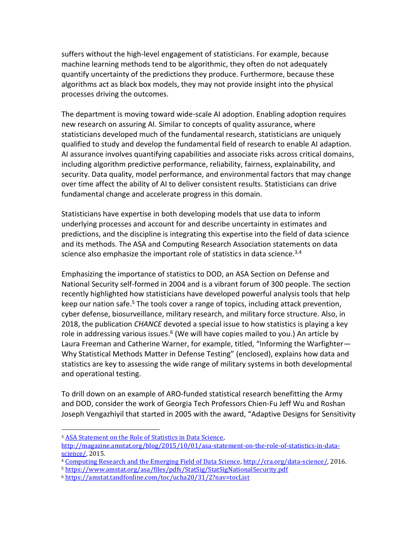suffers without the high-level engagement of statisticians. For example, because machine learning methods tend to be algorithmic, they often do not adequately quantify uncertainty of the predictions they produce. Furthermore, because these algorithms act as black box models, they may not provide insight into the physical processes driving the outcomes.

The department is moving toward wide-scale AI adoption. Enabling adoption requires new research on assuring AI. Similar to concepts of quality assurance, where statisticians developed much of the fundamental research, statisticians are uniquely qualified to study and develop the fundamental field of research to enable AI adaption. AI assurance involves quantifying capabilities and associate risks across critical domains, including algorithm predictive performance, reliability, fairness, explainability, and security. Data quality, model performance, and environmental factors that may change over time affect the ability of AI to deliver consistent results. Statisticians can drive fundamental change and accelerate progress in this domain.

Statisticians have expertise in both developing models that use data to inform underlying processes and account for and describe uncertainty in estimates and predictions, and the discipline is integrating this expertise into the field of data science and its methods. The ASA and Computing Research Association statements on data science also emphasize the important role of statistics in data science.<sup>3,4</sup>

Emphasizing the importance of statistics to DOD, an ASA Section on Defense and National Security self-formed in 2004 and is a vibrant forum of 300 people. The section recently highlighted how statisticians have developed powerful analysis tools that help keep our nation safe.<sup>5</sup> The tools cover a range of topics, including attack prevention, cyber defense, biosurveillance, military research, and military force structure. Also, in 2018, the publication *CHANCE* devoted a special issue to how statistics is playing a key role in addressing various issues.<sup>6</sup> (We will have copies mailed to you.) An article by Laura Freeman and Catherine Warner, for example, titled, "Informing the Warfighter— Why Statistical Methods Matter in Defense Testing" (enclosed), explains how data and statistics are key to assessing the wide range of military systems in both developmental and operational testing.

To drill down on an example of ARO-funded statistical research benefitting the Army and DOD, consider the work of Georgia Tech Professors Chien-Fu Jeff Wu and Roshan Joseph Vengazhiyil that started in 2005 with the award, "Adaptive Designs for Sensitivity

<sup>3</sup> [ASA Statement on the Role of Statistics in Data Science,](http://magazine.amstat.org/blog/2015/10/01/asa-statement-on-the-role-of-statistics-in-data-science/)  [http://magazine.amstat.org/blog/2015/10/01/asa-statement-on-the-role-of-statistics-in-data](http://magazine.amstat.org/blog/2015/10/01/asa-statement-on-the-role-of-statistics-in-data-science/)science / 2015.

<sup>4</sup> [Computing Research and the Emerging Field of Data Science, http://cra.org/data-science/,](http://cra.org/data-science/) 2016.

<sup>5</sup> <https://www.amstat.org/asa/files/pdfs/StatSig/StatSigNationalSecurity.pdf>

<sup>6</sup> <https://amstat.tandfonline.com/toc/ucha20/31/2?nav=tocList>